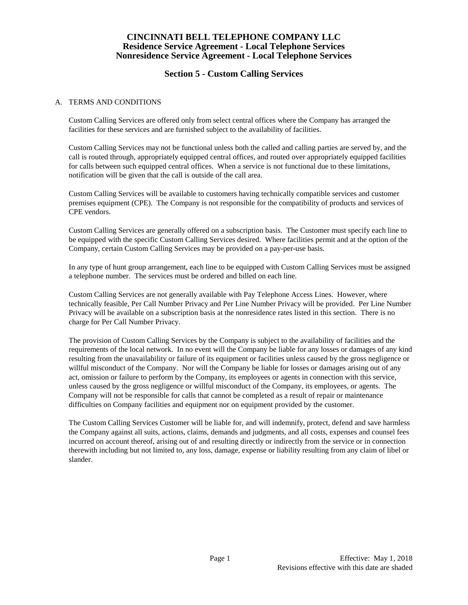# **Section 5 - Custom Calling Services**

### A. TERMS AND CONDITIONS

Custom Calling Services are offered only from select central offices where the Company has arranged the facilities for these services and are furnished subject to the availability of facilities.

Custom Calling Services may not be functional unless both the called and calling parties are served by, and the call is routed through, appropriately equipped central offices, and routed over appropriately equipped facilities for calls between such equipped central offices. When a service is not functional due to these limitations, notification will be given that the call is outside of the call area.

Custom Calling Services will be available to customers having technically compatible services and customer premises equipment (CPE). The Company is not responsible for the compatibility of products and services of CPE vendors.

Custom Calling Services are generally offered on a subscription basis. The Customer must specify each line to be equipped with the specific Custom Calling Services desired. Where facilities permit and at the option of the Company, certain Custom Calling Services may be provided on a pay-per-use basis.

In any type of hunt group arrangement, each line to be equipped with Custom Calling Services must be assigned a telephone number. The services must be ordered and billed on each line.

Custom Calling Services are not generally available with Pay Telephone Access Lines. However, where technically feasible, Per Call Number Privacy and Per Line Number Privacy will be provided. Per Line Number Privacy will be available on a subscription basis at the nonresidence rates listed in this section. There is no charge for Per Call Number Privacy.

The provision of Custom Calling Services by the Company is subject to the availability of facilities and the requirements of the local network. In no event will the Company be liable for any losses or damages of any kind resulting from the unavailability or failure of its equipment or facilities unless caused by the gross negligence or willful misconduct of the Company. Nor will the Company be liable for losses or damages arising out of any act, omission or failure to perform by the Company, its employees or agents in connection with this service, unless caused by the gross negligence or willful misconduct of the Company, its employees, or agents. The Company will not be responsible for calls that cannot be completed as a result of repair or maintenance difficulties on Company facilities and equipment nor on equipment provided by the customer.

The Custom Calling Services Customer will be liable for, and will indemnify, protect, defend and save harmless the Company against all suits, actions, claims, demands and judgments, and all costs, expenses and counsel fees incurred on account thereof, arising out of and resulting directly or indirectly from the service or in connection therewith including but not limited to, any loss, damage, expense or liability resulting from any claim of libel or slander.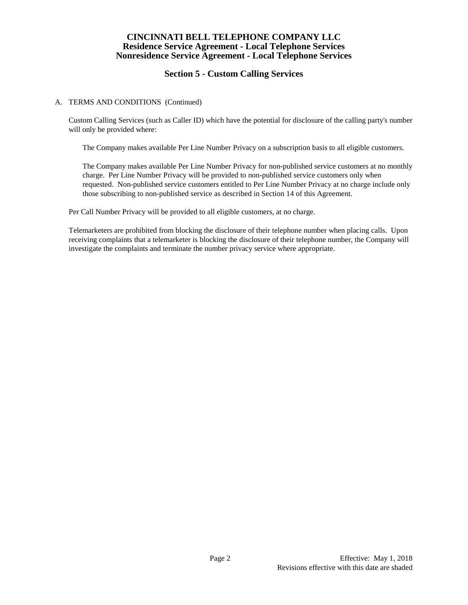# **Section 5 - Custom Calling Services**

## A. TERMS AND CONDITIONS (Continued)

Custom Calling Services (such as Caller ID) which have the potential for disclosure of the calling party's number will only be provided where:

The Company makes available Per Line Number Privacy on a subscription basis to all eligible customers.

The Company makes available Per Line Number Privacy for non-published service customers at no monthly charge. Per Line Number Privacy will be provided to non-published service customers only when requested. Non-published service customers entitled to Per Line Number Privacy at no charge include only those subscribing to non-published service as described in Section 14 of this Agreement.

Per Call Number Privacy will be provided to all eligible customers, at no charge.

Telemarketers are prohibited from blocking the disclosure of their telephone number when placing calls. Upon receiving complaints that a telemarketer is blocking the disclosure of their telephone number, the Company will investigate the complaints and terminate the number privacy service where appropriate.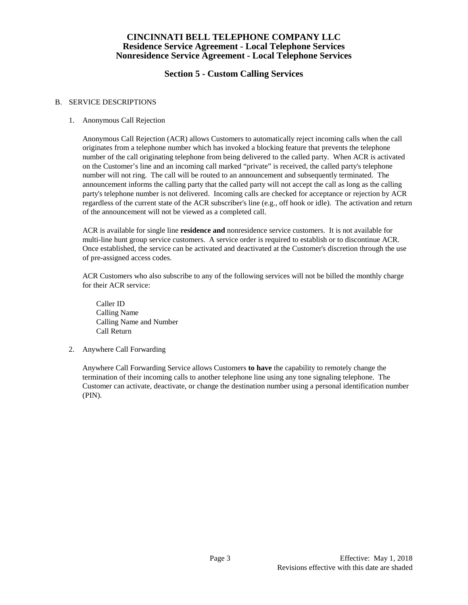# **Section 5 - Custom Calling Services**

## B. SERVICE DESCRIPTIONS

## 1. Anonymous Call Rejection

Anonymous Call Rejection (ACR) allows Customers to automatically reject incoming calls when the call originates from a telephone number which has invoked a blocking feature that prevents the telephone number of the call originating telephone from being delivered to the called party. When ACR is activated on the Customer's line and an incoming call marked "private" is received, the called party's telephone number will not ring. The call will be routed to an announcement and subsequently terminated. The announcement informs the calling party that the called party will not accept the call as long as the calling party's telephone number is not delivered. Incoming calls are checked for acceptance or rejection by ACR regardless of the current state of the ACR subscriber's line (e.g., off hook or idle). The activation and return of the announcement will not be viewed as a completed call.

ACR is available for single line **residence and** nonresidence service customers. It is not available for multi-line hunt group service customers. A service order is required to establish or to discontinue ACR. Once established, the service can be activated and deactivated at the Customer's discretion through the use of pre-assigned access codes.

ACR Customers who also subscribe to any of the following services will not be billed the monthly charge for their ACR service:

Caller ID Calling Name Calling Name and Number Call Return

2. Anywhere Call Forwarding

Anywhere Call Forwarding Service allows Customers **to have** the capability to remotely change the termination of their incoming calls to another telephone line using any tone signaling telephone. The Customer can activate, deactivate, or change the destination number using a personal identification number (PIN).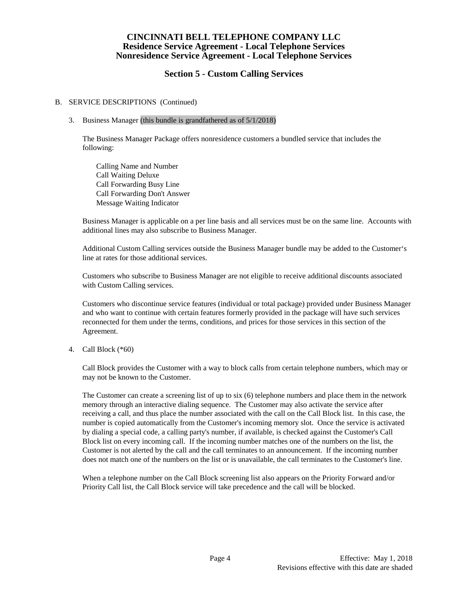# **Section 5 - Custom Calling Services**

#### B. SERVICE DESCRIPTIONS (Continued)

#### 3. Business Manager (this bundle is grandfathered as of 5/1/2018)

The Business Manager Package offers nonresidence customers a bundled service that includes the following:

Calling Name and Number Call Waiting Deluxe Call Forwarding Busy Line Call Forwarding Don't Answer Message Waiting Indicator

Business Manager is applicable on a per line basis and all services must be on the same line. Accounts with additional lines may also subscribe to Business Manager.

Additional Custom Calling services outside the Business Manager bundle may be added to the Customer's line at rates for those additional services.

Customers who subscribe to Business Manager are not eligible to receive additional discounts associated with Custom Calling services.

Customers who discontinue service features (individual or total package) provided under Business Manager and who want to continue with certain features formerly provided in the package will have such services reconnected for them under the terms, conditions, and prices for those services in this section of the Agreement.

4. Call Block (\*60)

Call Block provides the Customer with a way to block calls from certain telephone numbers, which may or may not be known to the Customer.

The Customer can create a screening list of up to six (6) telephone numbers and place them in the network memory through an interactive dialing sequence. The Customer may also activate the service after receiving a call, and thus place the number associated with the call on the Call Block list. In this case, the number is copied automatically from the Customer's incoming memory slot. Once the service is activated by dialing a special code, a calling party's number, if available, is checked against the Customer's Call Block list on every incoming call. If the incoming number matches one of the numbers on the list, the Customer is not alerted by the call and the call terminates to an announcement. If the incoming number does not match one of the numbers on the list or is unavailable, the call terminates to the Customer's line.

When a telephone number on the Call Block screening list also appears on the Priority Forward and/or Priority Call list, the Call Block service will take precedence and the call will be blocked.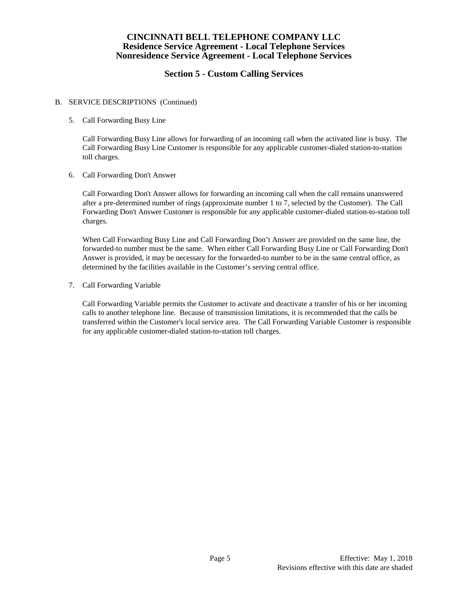# **Section 5 - Custom Calling Services**

### B. SERVICE DESCRIPTIONS (Continued)

5. Call Forwarding Busy Line

Call Forwarding Busy Line allows for forwarding of an incoming call when the activated line is busy. The Call Forwarding Busy Line Customer is responsible for any applicable customer-dialed station-to-station toll charges.

6. Call Forwarding Don't Answer

Call Forwarding Don't Answer allows for forwarding an incoming call when the call remains unanswered after a pre-determined number of rings (approximate number 1 to 7, selected by the Customer). The Call Forwarding Don't Answer Customer is responsible for any applicable customer-dialed station-to-station toll charges.

When Call Forwarding Busy Line and Call Forwarding Don't Answer are provided on the same line, the forwarded-to number must be the same. When either Call Forwarding Busy Line or Call Forwarding Don't Answer is provided, it may be necessary for the forwarded-to number to be in the same central office, as determined by the facilities available in the Customer's serving central office.

7. Call Forwarding Variable

Call Forwarding Variable permits the Customer to activate and deactivate a transfer of his or her incoming calls to another telephone line. Because of transmission limitations, it is recommended that the calls be transferred within the Customer's local service area. The Call Forwarding Variable Customer is responsible for any applicable customer-dialed station-to-station toll charges.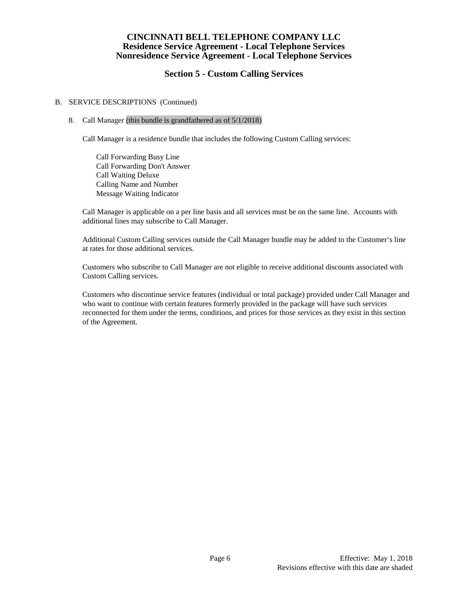# **Section 5 - Custom Calling Services**

### B. SERVICE DESCRIPTIONS (Continued)

#### 8. Call Manager (this bundle is grandfathered as of 5/1/2018)

Call Manager is a residence bundle that includes the following Custom Calling services:

Call Forwarding Busy Line Call Forwarding Don't Answer Call Waiting Deluxe Calling Name and Number Message Waiting Indicator

Call Manager is applicable on a per line basis and all services must be on the same line. Accounts with additional lines may subscribe to Call Manager.

Additional Custom Calling services outside the Call Manager bundle may be added to the Customer's line at rates for those additional services.

Customers who subscribe to Call Manager are not eligible to receive additional discounts associated with Custom Calling services.

Customers who discontinue service features (individual or total package) provided under Call Manager and who want to continue with certain features formerly provided in the package will have such services reconnected for them under the terms, conditions, and prices for those services as they exist in this section of the Agreement.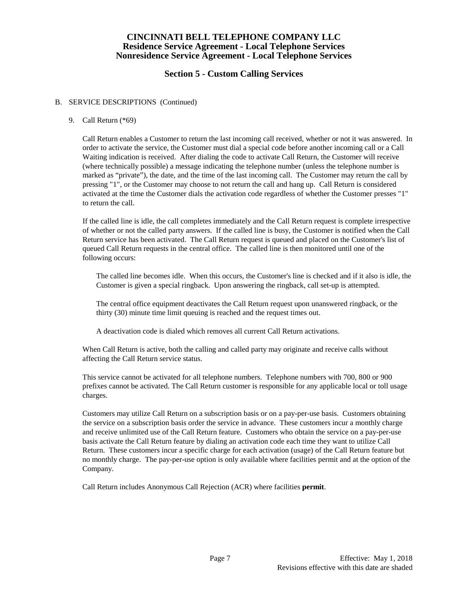# **Section 5 - Custom Calling Services**

### B. SERVICE DESCRIPTIONS (Continued)

#### 9. Call Return (\*69)

Call Return enables a Customer to return the last incoming call received, whether or not it was answered. In order to activate the service, the Customer must dial a special code before another incoming call or a Call Waiting indication is received. After dialing the code to activate Call Return, the Customer will receive (where technically possible) a message indicating the telephone number (unless the telephone number is marked as "private"), the date, and the time of the last incoming call. The Customer may return the call by pressing "1", or the Customer may choose to not return the call and hang up. Call Return is considered activated at the time the Customer dials the activation code regardless of whether the Customer presses "1" to return the call.

If the called line is idle, the call completes immediately and the Call Return request is complete irrespective of whether or not the called party answers. If the called line is busy, the Customer is notified when the Call Return service has been activated. The Call Return request is queued and placed on the Customer's list of queued Call Return requests in the central office. The called line is then monitored until one of the following occurs:

The called line becomes idle. When this occurs, the Customer's line is checked and if it also is idle, the Customer is given a special ringback. Upon answering the ringback, call set-up is attempted.

The central office equipment deactivates the Call Return request upon unanswered ringback, or the thirty (30) minute time limit queuing is reached and the request times out.

A deactivation code is dialed which removes all current Call Return activations.

When Call Return is active, both the calling and called party may originate and receive calls without affecting the Call Return service status.

This service cannot be activated for all telephone numbers. Telephone numbers with 700, 800 or 900 prefixes cannot be activated. The Call Return customer is responsible for any applicable local or toll usage charges.

Customers may utilize Call Return on a subscription basis or on a pay-per-use basis. Customers obtaining the service on a subscription basis order the service in advance. These customers incur a monthly charge and receive unlimited use of the Call Return feature. Customers who obtain the service on a pay-per-use basis activate the Call Return feature by dialing an activation code each time they want to utilize Call Return. These customers incur a specific charge for each activation (usage) of the Call Return feature but no monthly charge. The pay-per-use option is only available where facilities permit and at the option of the Company.

Call Return includes Anonymous Call Rejection (ACR) where facilities **permit**.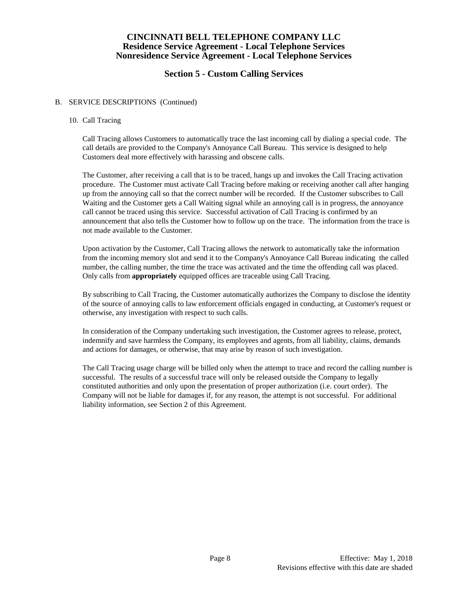# **Section 5 - Custom Calling Services**

#### B. SERVICE DESCRIPTIONS (Continued)

### 10. Call Tracing

Call Tracing allows Customers to automatically trace the last incoming call by dialing a special code. The call details are provided to the Company's Annoyance Call Bureau. This service is designed to help Customers deal more effectively with harassing and obscene calls.

The Customer, after receiving a call that is to be traced, hangs up and invokes the Call Tracing activation procedure. The Customer must activate Call Tracing before making or receiving another call after hanging up from the annoying call so that the correct number will be recorded. If the Customer subscribes to Call Waiting and the Customer gets a Call Waiting signal while an annoying call is in progress, the annoyance call cannot be traced using this service. Successful activation of Call Tracing is confirmed by an announcement that also tells the Customer how to follow up on the trace. The information from the trace is not made available to the Customer.

Upon activation by the Customer, Call Tracing allows the network to automatically take the information from the incoming memory slot and send it to the Company's Annoyance Call Bureau indicating the called number, the calling number, the time the trace was activated and the time the offending call was placed. Only calls from **appropriately** equipped offices are traceable using Call Tracing.

By subscribing to Call Tracing, the Customer automatically authorizes the Company to disclose the identity of the source of annoying calls to law enforcement officials engaged in conducting, at Customer's request or otherwise, any investigation with respect to such calls.

In consideration of the Company undertaking such investigation, the Customer agrees to release, protect, indemnify and save harmless the Company, its employees and agents, from all liability, claims, demands and actions for damages, or otherwise, that may arise by reason of such investigation.

The Call Tracing usage charge will be billed only when the attempt to trace and record the calling number is successful. The results of a successful trace will only be released outside the Company to legally constituted authorities and only upon the presentation of proper authorization (i.e. court order). The Company will not be liable for damages if, for any reason, the attempt is not successful. For additional liability information, see Section 2 of this Agreement.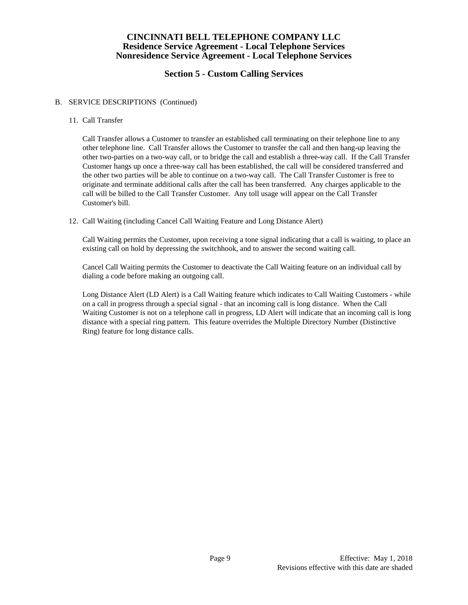# **Section 5 - Custom Calling Services**

### B. SERVICE DESCRIPTIONS (Continued)

#### 11. Call Transfer

Call Transfer allows a Customer to transfer an established call terminating on their telephone line to any other telephone line. Call Transfer allows the Customer to transfer the call and then hang-up leaving the other two-parties on a two-way call, or to bridge the call and establish a three-way call. If the Call Transfer Customer hangs up once a three-way call has been established, the call will be considered transferred and the other two parties will be able to continue on a two-way call. The Call Transfer Customer is free to originate and terminate additional calls after the call has been transferred. Any charges applicable to the call will be billed to the Call Transfer Customer. Any toll usage will appear on the Call Transfer Customer's bill.

#### 12. Call Waiting (including Cancel Call Waiting Feature and Long Distance Alert)

Call Waiting permits the Customer, upon receiving a tone signal indicating that a call is waiting, to place an existing call on hold by depressing the switchhook, and to answer the second waiting call.

Cancel Call Waiting permits the Customer to deactivate the Call Waiting feature on an individual call by dialing a code before making an outgoing call.

Long Distance Alert (LD Alert) is a Call Waiting feature which indicates to Call Waiting Customers - while on a call in progress through a special signal - that an incoming call is long distance. When the Call Waiting Customer is not on a telephone call in progress, LD Alert will indicate that an incoming call is long distance with a special ring pattern. This feature overrides the Multiple Directory Number (Distinctive Ring) feature for long distance calls.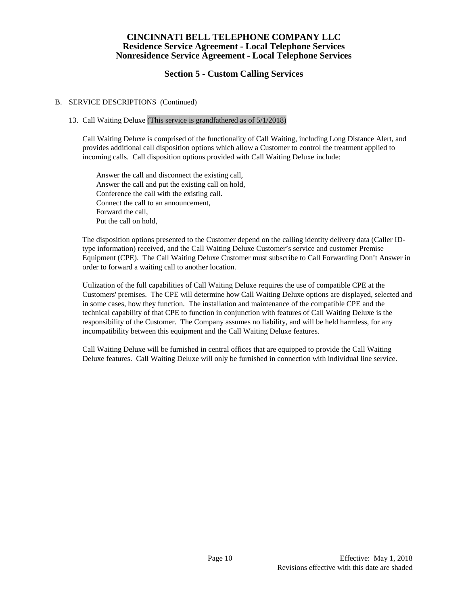# **Section 5 - Custom Calling Services**

## B. SERVICE DESCRIPTIONS (Continued)

## 13. Call Waiting Deluxe (This service is grandfathered as of 5/1/2018)

Call Waiting Deluxe is comprised of the functionality of Call Waiting, including Long Distance Alert, and provides additional call disposition options which allow a Customer to control the treatment applied to incoming calls. Call disposition options provided with Call Waiting Deluxe include:

Answer the call and disconnect the existing call, Answer the call and put the existing call on hold, Conference the call with the existing call. Connect the call to an announcement, Forward the call, Put the call on hold,

The disposition options presented to the Customer depend on the calling identity delivery data (Caller IDtype information) received, and the Call Waiting Deluxe Customer's service and customer Premise Equipment (CPE). The Call Waiting Deluxe Customer must subscribe to Call Forwarding Don't Answer in order to forward a waiting call to another location.

Utilization of the full capabilities of Call Waiting Deluxe requires the use of compatible CPE at the Customers' premises. The CPE will determine how Call Waiting Deluxe options are displayed, selected and in some cases, how they function. The installation and maintenance of the compatible CPE and the technical capability of that CPE to function in conjunction with features of Call Waiting Deluxe is the responsibility of the Customer. The Company assumes no liability, and will be held harmless, for any incompatibility between this equipment and the Call Waiting Deluxe features.

Call Waiting Deluxe will be furnished in central offices that are equipped to provide the Call Waiting Deluxe features. Call Waiting Deluxe will only be furnished in connection with individual line service.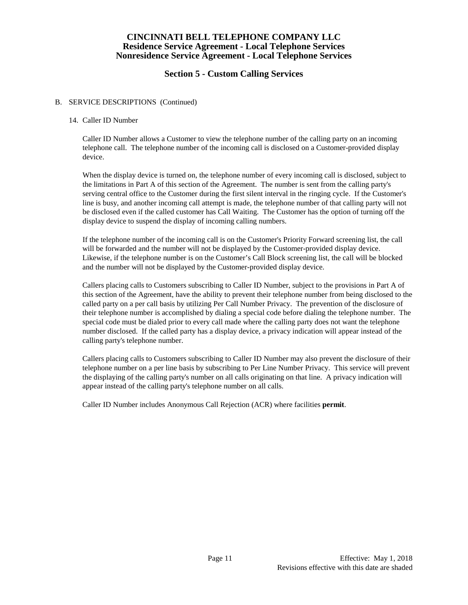# **Section 5 - Custom Calling Services**

### B. SERVICE DESCRIPTIONS (Continued)

#### 14. Caller ID Number

Caller ID Number allows a Customer to view the telephone number of the calling party on an incoming telephone call. The telephone number of the incoming call is disclosed on a Customer-provided display device.

When the display device is turned on, the telephone number of every incoming call is disclosed, subject to the limitations in Part A of this section of the Agreement. The number is sent from the calling party's serving central office to the Customer during the first silent interval in the ringing cycle. If the Customer's line is busy, and another incoming call attempt is made, the telephone number of that calling party will not be disclosed even if the called customer has Call Waiting. The Customer has the option of turning off the display device to suspend the display of incoming calling numbers.

If the telephone number of the incoming call is on the Customer's Priority Forward screening list, the call will be forwarded and the number will not be displayed by the Customer-provided display device. Likewise, if the telephone number is on the Customer's Call Block screening list, the call will be blocked and the number will not be displayed by the Customer-provided display device.

Callers placing calls to Customers subscribing to Caller ID Number, subject to the provisions in Part A of this section of the Agreement, have the ability to prevent their telephone number from being disclosed to the called party on a per call basis by utilizing Per Call Number Privacy. The prevention of the disclosure of their telephone number is accomplished by dialing a special code before dialing the telephone number. The special code must be dialed prior to every call made where the calling party does not want the telephone number disclosed. If the called party has a display device, a privacy indication will appear instead of the calling party's telephone number.

Callers placing calls to Customers subscribing to Caller ID Number may also prevent the disclosure of their telephone number on a per line basis by subscribing to Per Line Number Privacy. This service will prevent the displaying of the calling party's number on all calls originating on that line. A privacy indication will appear instead of the calling party's telephone number on all calls.

Caller ID Number includes Anonymous Call Rejection (ACR) where facilities **permit**.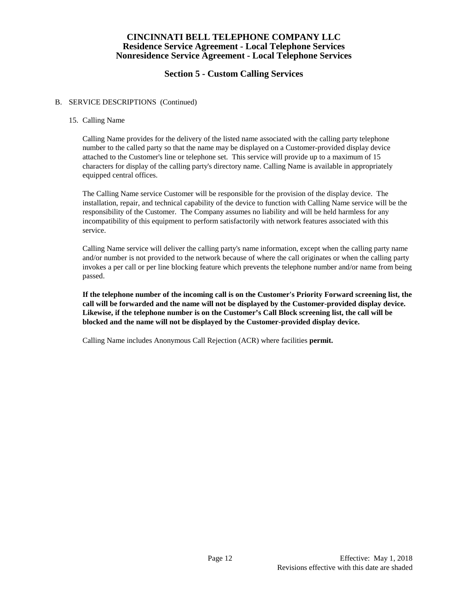# **Section 5 - Custom Calling Services**

### B. SERVICE DESCRIPTIONS (Continued)

#### 15. Calling Name

Calling Name provides for the delivery of the listed name associated with the calling party telephone number to the called party so that the name may be displayed on a Customer-provided display device attached to the Customer's line or telephone set. This service will provide up to a maximum of 15 characters for display of the calling party's directory name. Calling Name is available in appropriately equipped central offices.

The Calling Name service Customer will be responsible for the provision of the display device. The installation, repair, and technical capability of the device to function with Calling Name service will be the responsibility of the Customer. The Company assumes no liability and will be held harmless for any incompatibility of this equipment to perform satisfactorily with network features associated with this service.

Calling Name service will deliver the calling party's name information, except when the calling party name and/or number is not provided to the network because of where the call originates or when the calling party invokes a per call or per line blocking feature which prevents the telephone number and/or name from being passed.

**If the telephone number of the incoming call is on the Customer's Priority Forward screening list, the call will be forwarded and the name will not be displayed by the Customer-provided display device. Likewise, if the telephone number is on the Customer's Call Block screening list, the call will be blocked and the name will not be displayed by the Customer-provided display device.**

Calling Name includes Anonymous Call Rejection (ACR) where facilities **permit.**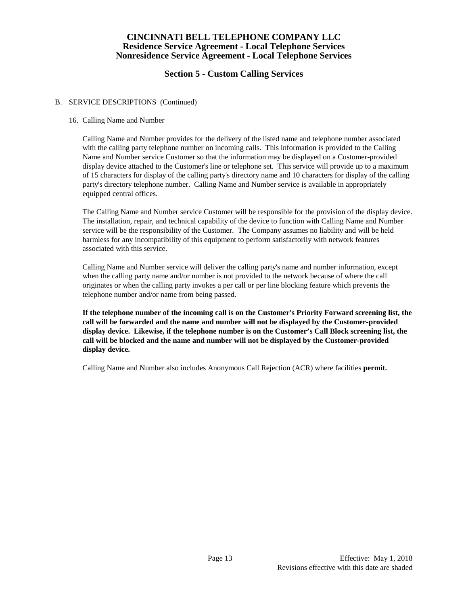# **Section 5 - Custom Calling Services**

### B. SERVICE DESCRIPTIONS (Continued)

#### 16. Calling Name and Number

Calling Name and Number provides for the delivery of the listed name and telephone number associated with the calling party telephone number on incoming calls. This information is provided to the Calling Name and Number service Customer so that the information may be displayed on a Customer-provided display device attached to the Customer's line or telephone set. This service will provide up to a maximum of 15 characters for display of the calling party's directory name and 10 characters for display of the calling party's directory telephone number. Calling Name and Number service is available in appropriately equipped central offices.

The Calling Name and Number service Customer will be responsible for the provision of the display device. The installation, repair, and technical capability of the device to function with Calling Name and Number service will be the responsibility of the Customer. The Company assumes no liability and will be held harmless for any incompatibility of this equipment to perform satisfactorily with network features associated with this service.

Calling Name and Number service will deliver the calling party's name and number information, except when the calling party name and/or number is not provided to the network because of where the call originates or when the calling party invokes a per call or per line blocking feature which prevents the telephone number and/or name from being passed.

**If the telephone number of the incoming call is on the Customer's Priority Forward screening list, the call will be forwarded and the name and number will not be displayed by the Customer-provided display device. Likewise, if the telephone number is on the Customer's Call Block screening list, the call will be blocked and the name and number will not be displayed by the Customer-provided display device.**

Calling Name and Number also includes Anonymous Call Rejection (ACR) where facilities **permit.**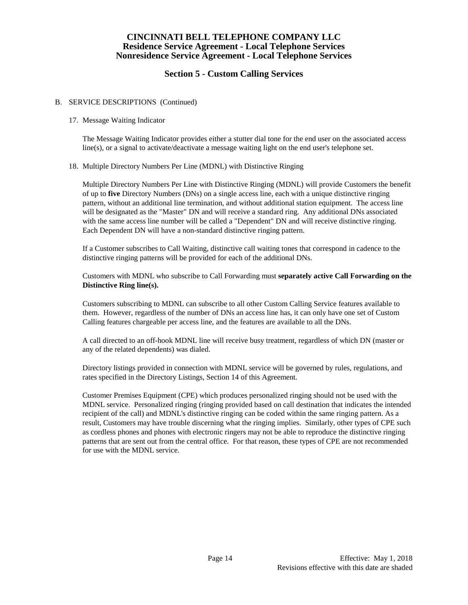# **Section 5 - Custom Calling Services**

### B. SERVICE DESCRIPTIONS (Continued)

#### 17. Message Waiting Indicator

The Message Waiting Indicator provides either a stutter dial tone for the end user on the associated access line(s), or a signal to activate/deactivate a message waiting light on the end user's telephone set.

#### 18. Multiple Directory Numbers Per Line (MDNL) with Distinctive Ringing

Multiple Directory Numbers Per Line with Distinctive Ringing (MDNL) will provide Customers the benefit of up to **five** Directory Numbers (DNs) on a single access line, each with a unique distinctive ringing pattern, without an additional line termination, and without additional station equipment. The access line will be designated as the "Master" DN and will receive a standard ring. Any additional DNs associated with the same access line number will be called a "Dependent" DN and will receive distinctive ringing. Each Dependent DN will have a non-standard distinctive ringing pattern.

If a Customer subscribes to Call Waiting, distinctive call waiting tones that correspond in cadence to the distinctive ringing patterns will be provided for each of the additional DNs.

Customers with MDNL who subscribe to Call Forwarding must **separately active Call Forwarding on the Distinctive Ring line(s).** 

Customers subscribing to MDNL can subscribe to all other Custom Calling Service features available to them. However, regardless of the number of DNs an access line has, it can only have one set of Custom Calling features chargeable per access line, and the features are available to all the DNs.

A call directed to an off-hook MDNL line will receive busy treatment, regardless of which DN (master or any of the related dependents) was dialed.

Directory listings provided in connection with MDNL service will be governed by rules, regulations, and rates specified in the Directory Listings, Section 14 of this Agreement.

Customer Premises Equipment (CPE) which produces personalized ringing should not be used with the MDNL service. Personalized ringing (ringing provided based on call destination that indicates the intended recipient of the call) and MDNL's distinctive ringing can be coded within the same ringing pattern. As a result, Customers may have trouble discerning what the ringing implies. Similarly, other types of CPE such as cordless phones and phones with electronic ringers may not be able to reproduce the distinctive ringing patterns that are sent out from the central office. For that reason, these types of CPE are not recommended for use with the MDNL service.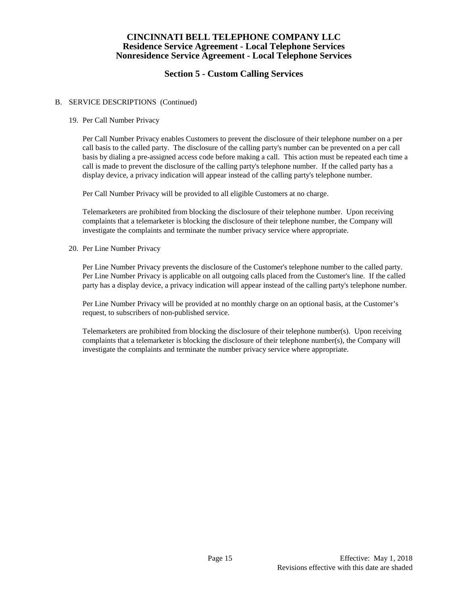# **Section 5 - Custom Calling Services**

### B. SERVICE DESCRIPTIONS (Continued)

#### 19. Per Call Number Privacy

Per Call Number Privacy enables Customers to prevent the disclosure of their telephone number on a per call basis to the called party. The disclosure of the calling party's number can be prevented on a per call basis by dialing a pre-assigned access code before making a call. This action must be repeated each time a call is made to prevent the disclosure of the calling party's telephone number. If the called party has a display device, a privacy indication will appear instead of the calling party's telephone number.

Per Call Number Privacy will be provided to all eligible Customers at no charge.

Telemarketers are prohibited from blocking the disclosure of their telephone number. Upon receiving complaints that a telemarketer is blocking the disclosure of their telephone number, the Company will investigate the complaints and terminate the number privacy service where appropriate.

20. Per Line Number Privacy

Per Line Number Privacy prevents the disclosure of the Customer's telephone number to the called party. Per Line Number Privacy is applicable on all outgoing calls placed from the Customer's line. If the called party has a display device, a privacy indication will appear instead of the calling party's telephone number.

Per Line Number Privacy will be provided at no monthly charge on an optional basis, at the Customer's request, to subscribers of non-published service.

Telemarketers are prohibited from blocking the disclosure of their telephone number(s). Upon receiving complaints that a telemarketer is blocking the disclosure of their telephone number(s), the Company will investigate the complaints and terminate the number privacy service where appropriate.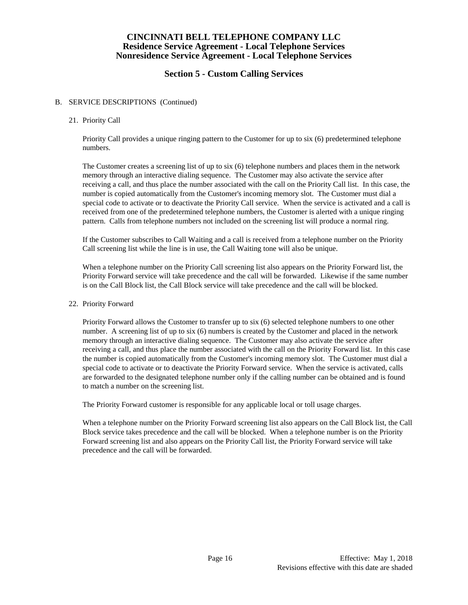# **Section 5 - Custom Calling Services**

### B. SERVICE DESCRIPTIONS (Continued)

#### 21. Priority Call

Priority Call provides a unique ringing pattern to the Customer for up to six (6) predetermined telephone numbers.

The Customer creates a screening list of up to six (6) telephone numbers and places them in the network memory through an interactive dialing sequence. The Customer may also activate the service after receiving a call, and thus place the number associated with the call on the Priority Call list. In this case, the number is copied automatically from the Customer's incoming memory slot. The Customer must dial a special code to activate or to deactivate the Priority Call service. When the service is activated and a call is received from one of the predetermined telephone numbers, the Customer is alerted with a unique ringing pattern. Calls from telephone numbers not included on the screening list will produce a normal ring.

If the Customer subscribes to Call Waiting and a call is received from a telephone number on the Priority Call screening list while the line is in use, the Call Waiting tone will also be unique.

When a telephone number on the Priority Call screening list also appears on the Priority Forward list, the Priority Forward service will take precedence and the call will be forwarded. Likewise if the same number is on the Call Block list, the Call Block service will take precedence and the call will be blocked.

#### 22. Priority Forward

Priority Forward allows the Customer to transfer up to six (6) selected telephone numbers to one other number. A screening list of up to six (6) numbers is created by the Customer and placed in the network memory through an interactive dialing sequence. The Customer may also activate the service after receiving a call, and thus place the number associated with the call on the Priority Forward list. In this case the number is copied automatically from the Customer's incoming memory slot. The Customer must dial a special code to activate or to deactivate the Priority Forward service. When the service is activated, calls are forwarded to the designated telephone number only if the calling number can be obtained and is found to match a number on the screening list.

The Priority Forward customer is responsible for any applicable local or toll usage charges.

When a telephone number on the Priority Forward screening list also appears on the Call Block list, the Call Block service takes precedence and the call will be blocked. When a telephone number is on the Priority Forward screening list and also appears on the Priority Call list, the Priority Forward service will take precedence and the call will be forwarded.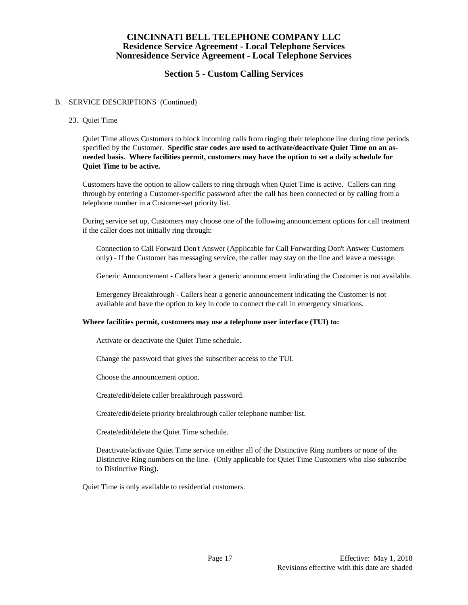# **Section 5 - Custom Calling Services**

#### B. SERVICE DESCRIPTIONS (Continued)

23. Quiet Time

Quiet Time allows Customers to block incoming calls from ringing their telephone line during time periods specified by the Customer. **Specific star codes are used to activate/deactivate Quiet Time on an asneeded basis. Where facilities permit, customers may have the option to set a daily schedule for Quiet Time to be active.** 

Customers have the option to allow callers to ring through when Quiet Time is active. Callers can ring through by entering a Customer-specific password after the call has been connected or by calling from a telephone number in a Customer-set priority list.

During service set up, Customers may choose one of the following announcement options for call treatment if the caller does not initially ring through:

Connection to Call Forward Don't Answer (Applicable for Call Forwarding Don't Answer Customers only) - If the Customer has messaging service, the caller may stay on the line and leave a message.

Generic Announcement - Callers hear a generic announcement indicating the Customer is not available.

Emergency Breakthrough - Callers hear a generic announcement indicating the Customer is not available and have the option to key in code to connect the call in emergency situations.

#### **Where facilities permit, customers may use a telephone user interface (TUI) to:**

Activate or deactivate the Quiet Time schedule.

Change the password that gives the subscriber access to the TUI.

Choose the announcement option.

Create/edit/delete caller breakthrough password.

Create/edit/delete priority breakthrough caller telephone number list.

Create/edit/delete the Quiet Time schedule.

Deactivate/activate Quiet Time service on either all of the Distinctive Ring numbers or none of the Distinctive Ring numbers on the line. (Only applicable for Quiet Time Customers who also subscribe to Distinctive Ring).

Quiet Time is only available to residential customers.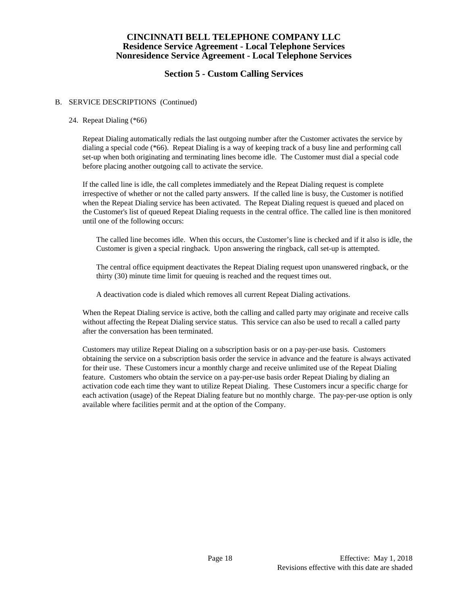# **Section 5 - Custom Calling Services**

### B. SERVICE DESCRIPTIONS (Continued)

#### 24. Repeat Dialing (\*66)

Repeat Dialing automatically redials the last outgoing number after the Customer activates the service by dialing a special code (\*66). Repeat Dialing is a way of keeping track of a busy line and performing call set-up when both originating and terminating lines become idle. The Customer must dial a special code before placing another outgoing call to activate the service.

If the called line is idle, the call completes immediately and the Repeat Dialing request is complete irrespective of whether or not the called party answers. If the called line is busy, the Customer is notified when the Repeat Dialing service has been activated. The Repeat Dialing request is queued and placed on the Customer's list of queued Repeat Dialing requests in the central office. The called line is then monitored until one of the following occurs:

The called line becomes idle. When this occurs, the Customer's line is checked and if it also is idle, the Customer is given a special ringback. Upon answering the ringback, call set-up is attempted.

The central office equipment deactivates the Repeat Dialing request upon unanswered ringback, or the thirty (30) minute time limit for queuing is reached and the request times out.

A deactivation code is dialed which removes all current Repeat Dialing activations.

When the Repeat Dialing service is active, both the calling and called party may originate and receive calls without affecting the Repeat Dialing service status. This service can also be used to recall a called party after the conversation has been terminated.

Customers may utilize Repeat Dialing on a subscription basis or on a pay-per-use basis. Customers obtaining the service on a subscription basis order the service in advance and the feature is always activated for their use. These Customers incur a monthly charge and receive unlimited use of the Repeat Dialing feature. Customers who obtain the service on a pay-per-use basis order Repeat Dialing by dialing an activation code each time they want to utilize Repeat Dialing. These Customers incur a specific charge for each activation (usage) of the Repeat Dialing feature but no monthly charge. The pay-per-use option is only available where facilities permit and at the option of the Company.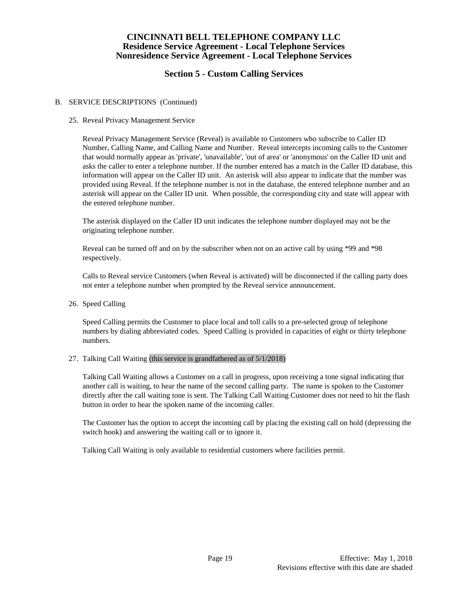# **Section 5 - Custom Calling Services**

### B. SERVICE DESCRIPTIONS (Continued)

#### 25. Reveal Privacy Management Service

Reveal Privacy Management Service (Reveal) is available to Customers who subscribe to Caller ID Number, Calling Name, and Calling Name and Number. Reveal intercepts incoming calls to the Customer that would normally appear as 'private', 'unavailable', 'out of area' or 'anonymous' on the Caller ID unit and asks the caller to enter a telephone number. If the number entered has a match in the Caller ID database, this information will appear on the Caller ID unit. An asterisk will also appear to indicate that the number was provided using Reveal. If the telephone number is not in the database, the entered telephone number and an asterisk will appear on the Caller ID unit. When possible, the corresponding city and state will appear with the entered telephone number.

The asterisk displayed on the Caller ID unit indicates the telephone number displayed may not be the originating telephone number.

Reveal can be turned off and on by the subscriber when not on an active call by using \*99 and \*98 respectively.

Calls to Reveal service Customers (when Reveal is activated) will be disconnected if the calling party does not enter a telephone number when prompted by the Reveal service announcement.

26. Speed Calling

Speed Calling permits the Customer to place local and toll calls to a pre-selected group of telephone numbers by dialing abbreviated codes. Speed Calling is provided in capacities of eight or thirty telephone numbers.

#### 27. Talking Call Waiting (this service is grandfathered as of 5/1/2018)

Talking Call Waiting allows a Customer on a call in progress, upon receiving a tone signal indicating that another call is waiting, to hear the name of the second calling party. The name is spoken to the Customer directly after the call waiting tone is sent. The Talking Call Waiting Customer does not need to hit the flash button in order to hear the spoken name of the incoming caller.

The Customer has the option to accept the incoming call by placing the existing call on hold (depressing the switch hook) and answering the waiting call or to ignore it.

Talking Call Waiting is only available to residential customers where facilities permit.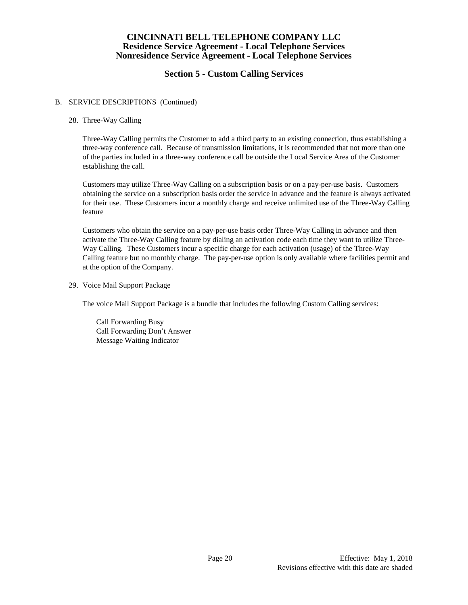# **Section 5 - Custom Calling Services**

### B. SERVICE DESCRIPTIONS (Continued)

#### 28. Three-Way Calling

Three-Way Calling permits the Customer to add a third party to an existing connection, thus establishing a three-way conference call. Because of transmission limitations, it is recommended that not more than one of the parties included in a three-way conference call be outside the Local Service Area of the Customer establishing the call.

Customers may utilize Three-Way Calling on a subscription basis or on a pay-per-use basis. Customers obtaining the service on a subscription basis order the service in advance and the feature is always activated for their use. These Customers incur a monthly charge and receive unlimited use of the Three-Way Calling feature

Customers who obtain the service on a pay-per-use basis order Three-Way Calling in advance and then activate the Three-Way Calling feature by dialing an activation code each time they want to utilize Three-Way Calling. These Customers incur a specific charge for each activation (usage) of the Three-Way Calling feature but no monthly charge. The pay-per-use option is only available where facilities permit and at the option of the Company.

29. Voice Mail Support Package

The voice Mail Support Package is a bundle that includes the following Custom Calling services:

Call Forwarding Busy Call Forwarding Don't Answer Message Waiting Indicator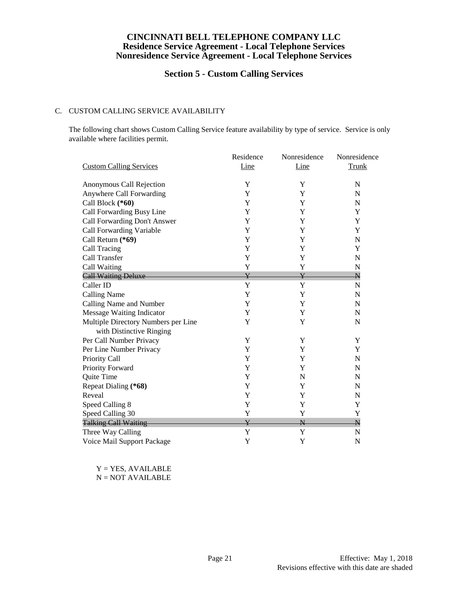# **Section 5 - Custom Calling Services**

### C. CUSTOM CALLING SERVICE AVAILABILITY

The following chart shows Custom Calling Service feature availability by type of service. Service is only available where facilities permit.

|                                     | Residence               | Nonresidence            | Nonresidence            |
|-------------------------------------|-------------------------|-------------------------|-------------------------|
| <b>Custom Calling Services</b>      | Line                    | Line                    | Trunk                   |
| Anonymous Call Rejection            | Y                       | Y                       | N                       |
| Anywhere Call Forwarding            | Y                       | Y                       | N                       |
| Call Block (*60)                    | Y                       | Y                       | N                       |
| Call Forwarding Busy Line           | Y                       | Y                       | Y                       |
| Call Forwarding Don't Answer        | Y                       | Y                       | Y                       |
| Call Forwarding Variable            | Y                       | Y                       | Y                       |
| Call Return (*69)                   | Y                       | Y                       | N                       |
| Call Tracing                        | Y                       | Y                       | Y                       |
| Call Transfer                       | Y                       | Y                       | N                       |
| Call Waiting                        | Y                       | Y                       | N                       |
| <b>Call Waiting Deluxe</b>          | $\overline{\mathrm{Y}}$ | ¥                       | $\overline{\mathsf{N}}$ |
| Caller ID                           | Y                       | Y                       | $\mathbf N$             |
| <b>Calling Name</b>                 | Y                       | Y                       | N                       |
| Calling Name and Number             | Y                       | Y                       | $\mathbf N$             |
| <b>Message Waiting Indicator</b>    | Y                       | Y                       | N                       |
| Multiple Directory Numbers per Line | Y                       | Y                       | N                       |
| with Distinctive Ringing            |                         |                         |                         |
| Per Call Number Privacy             | Y                       | Y                       | Y                       |
| Per Line Number Privacy             | Y                       | Y                       | Y                       |
| Priority Call                       | Y                       | Y                       | $\mathbf N$             |
| Priority Forward                    | Y                       | Y                       | N                       |
| Quite Time                          | Y                       | N                       | N                       |
| Repeat Dialing (*68)                | Y                       | Y                       | N                       |
| Reveal                              | Y                       | Y                       | $\mathbf N$             |
| Speed Calling 8                     | Y                       | Y                       | Y                       |
| Speed Calling 30                    | Y                       | Y                       | Y                       |
| <b>Talking Call Waiting</b>         | ¥                       | $\overline{\mathsf{N}}$ | $\overline{\mathsf{N}}$ |
| Three Way Calling                   | Y                       | Y                       | N                       |
| Voice Mail Support Package          | Y                       | Y                       | N                       |

Y = YES, AVAILABLE N = NOT AVAILABLE